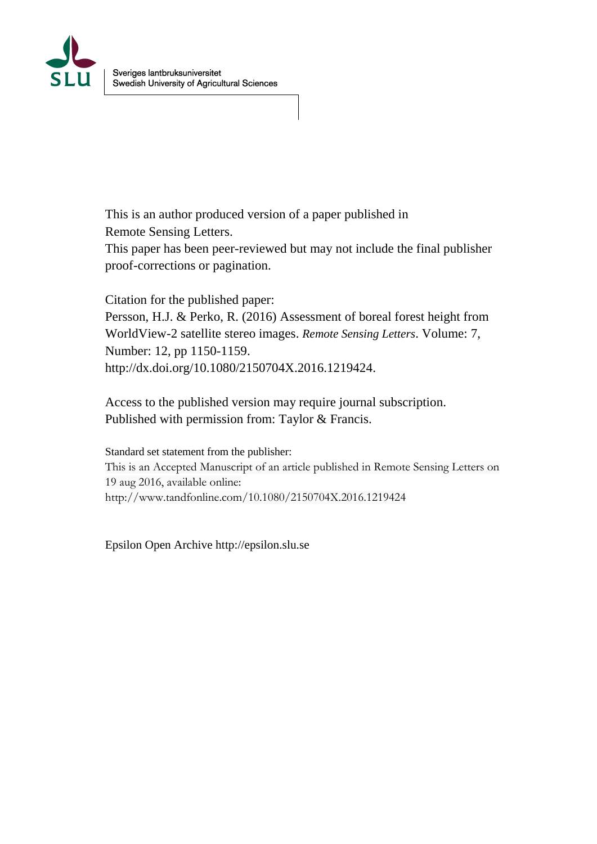

This is an author produced version of a paper published in Remote Sensing Letters.

This paper has been peer-reviewed but may not include the final publisher proof-corrections or pagination.

Citation for the published paper: Persson, H.J. & Perko, R. (2016) Assessment of boreal forest height from WorldView-2 satellite stereo images. *Remote Sensing Letters*. Volume: 7, Number: 12, pp 1150-1159.

http://dx.doi.org/10.1080/2150704X.2016.1219424.

Access to the published version may require journal subscription. Published with permission from: Taylor & Francis.

Standard set statement from the publisher: This is an Accepted Manuscript of an article published in Remote Sensing Letters on 19 aug 2016, available online: http://www.tandfonline.com/10.1080/2150704X.2016.1219424

Epsilon Open Archive http://epsilon.slu.se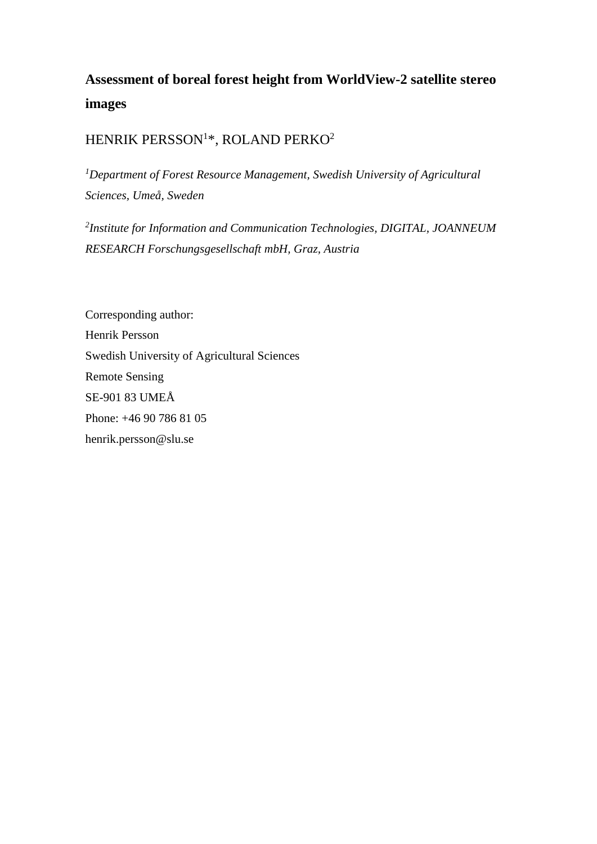# **Assessment of boreal forest height from WorldView-2 satellite stereo images**

# HENRIK PERSSON<sup>1</sup>\*, ROLAND PERKO<sup>2</sup>

*<sup>1</sup>Department of Forest Resource Management, Swedish University of Agricultural Sciences, Umeå, Sweden*

*2 Institute for Information and Communication Technologies, DIGITAL, JOANNEUM RESEARCH Forschungsgesellschaft mbH, Graz, Austria*

Corresponding author: Henrik Persson Swedish University of Agricultural Sciences Remote Sensing SE-901 83 UMEÅ Phone: +46 90 786 81 05 henrik.persson@slu.se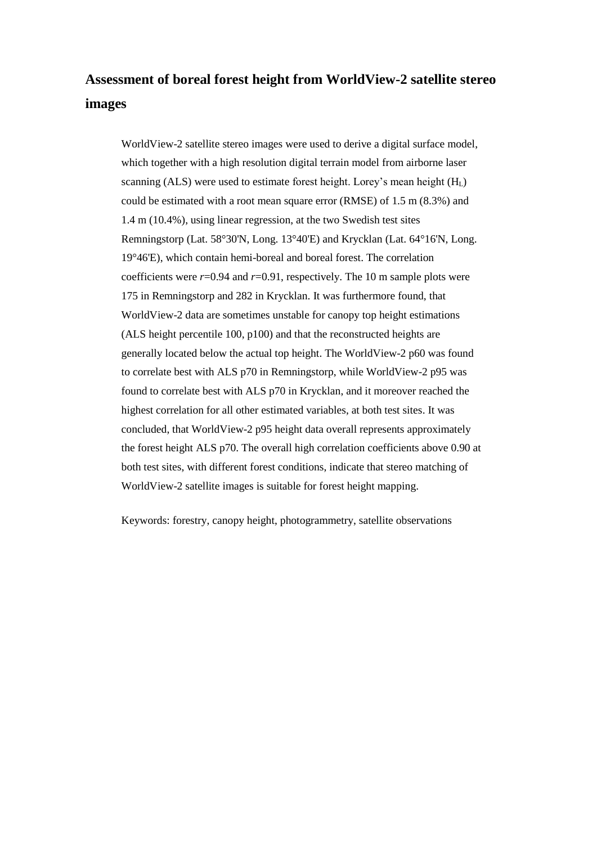# **Assessment of boreal forest height from WorldView-2 satellite stereo images**

WorldView-2 satellite stereo images were used to derive a digital surface model, which together with a high resolution digital terrain model from airborne laser scanning (ALS) were used to estimate forest height. Lorey's mean height (H<sub>L</sub>) could be estimated with a root mean square error (RMSE) of 1.5 m (8.3%) and 1.4 m (10.4%), using linear regression, at the two Swedish test sites Remningstorp (Lat. 58°30'N, Long. 13°40'E) and Krycklan (Lat. 64°16'N, Long. 19°46'E), which contain hemi-boreal and boreal forest. The correlation coefficients were *r*=0.94 and *r*=0.91, respectively. The 10 m sample plots were 175 in Remningstorp and 282 in Krycklan. It was furthermore found, that WorldView-2 data are sometimes unstable for canopy top height estimations (ALS height percentile 100, p100) and that the reconstructed heights are generally located below the actual top height. The WorldView-2 p60 was found to correlate best with ALS p70 in Remningstorp, while WorldView-2 p95 was found to correlate best with ALS p70 in Krycklan, and it moreover reached the highest correlation for all other estimated variables, at both test sites. It was concluded, that WorldView-2 p95 height data overall represents approximately the forest height ALS p70. The overall high correlation coefficients above 0.90 at both test sites, with different forest conditions, indicate that stereo matching of WorldView-2 satellite images is suitable for forest height mapping.

Keywords: forestry, canopy height, photogrammetry, satellite observations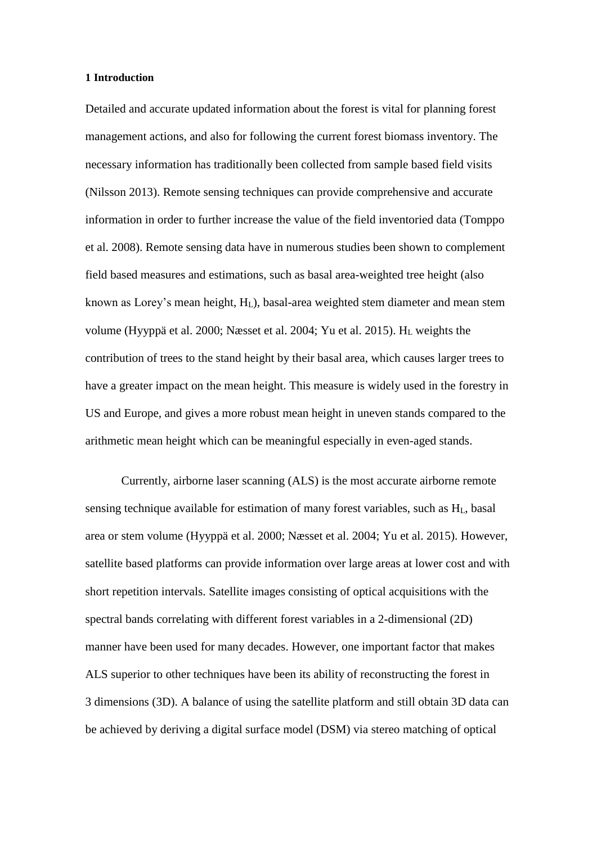#### **1 Introduction**

Detailed and accurate updated information about the forest is vital for planning forest management actions, and also for following the current forest biomass inventory. The necessary information has traditionally been collected from sample based field visits (Nilsson 2013). Remote sensing techniques can provide comprehensive and accurate information in order to further increase the value of the field inventoried data (Tomppo et al. 2008). Remote sensing data have in numerous studies been shown to complement field based measures and estimations, such as basal area-weighted tree height (also known as Lorey's mean height,  $H_L$ ), basal-area weighted stem diameter and mean stem volume (Hyyppä et al. 2000; Næsset et al. 2004; Yu et al. 2015). H<sup>L</sup> weights the contribution of trees to the stand height by their basal area, which causes larger trees to have a greater impact on the mean height. This measure is widely used in the forestry in US and Europe, and gives a more robust mean height in uneven stands compared to the arithmetic mean height which can be meaningful especially in even-aged stands.

Currently, airborne laser scanning (ALS) is the most accurate airborne remote sensing technique available for estimation of many forest variables, such as  $H<sub>L</sub>$ , basal area or stem volume (Hyyppä et al. 2000; Næsset et al. 2004; Yu et al. 2015). However, satellite based platforms can provide information over large areas at lower cost and with short repetition intervals. Satellite images consisting of optical acquisitions with the spectral bands correlating with different forest variables in a 2-dimensional (2D) manner have been used for many decades. However, one important factor that makes ALS superior to other techniques have been its ability of reconstructing the forest in 3 dimensions (3D). A balance of using the satellite platform and still obtain 3D data can be achieved by deriving a digital surface model (DSM) via stereo matching of optical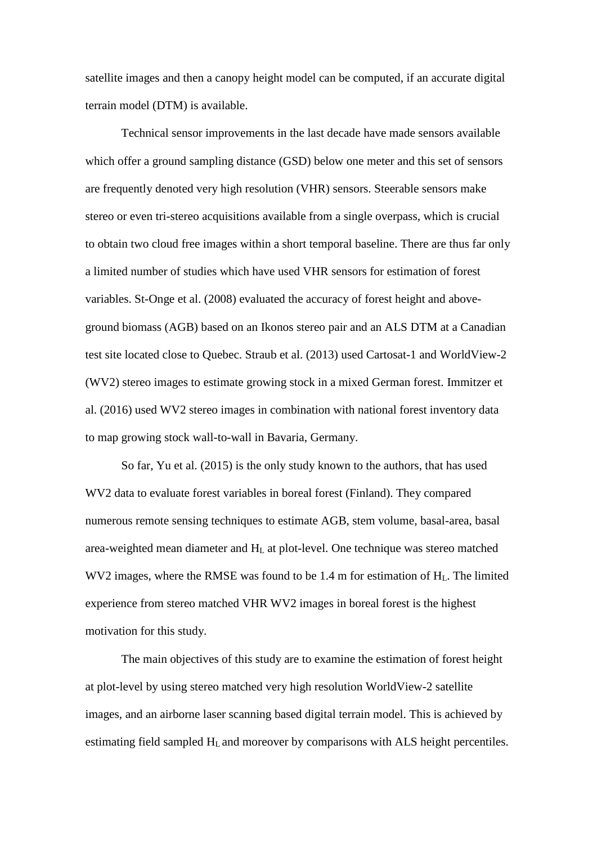satellite images and then a canopy height model can be computed, if an accurate digital terrain model (DTM) is available.

Technical sensor improvements in the last decade have made sensors available which offer a ground sampling distance (GSD) below one meter and this set of sensors are frequently denoted very high resolution (VHR) sensors. Steerable sensors make stereo or even tri-stereo acquisitions available from a single overpass, which is crucial to obtain two cloud free images within a short temporal baseline. There are thus far only a limited number of studies which have used VHR sensors for estimation of forest variables. St-Onge et al. (2008) evaluated the accuracy of forest height and aboveground biomass (AGB) based on an Ikonos stereo pair and an ALS DTM at a Canadian test site located close to Quebec. Straub et al. (2013) used Cartosat-1 and WorldView-2 (WV2) stereo images to estimate growing stock in a mixed German forest. Immitzer et al. (2016) used WV2 stereo images in combination with national forest inventory data to map growing stock wall-to-wall in Bavaria, Germany.

So far, Yu et al. (2015) is the only study known to the authors, that has used WV2 data to evaluate forest variables in boreal forest (Finland). They compared numerous remote sensing techniques to estimate AGB, stem volume, basal-area, basal area-weighted mean diameter and H<sup>L</sup> at plot-level. One technique was stereo matched WV2 images, where the RMSE was found to be 1.4 m for estimation of H<sub>L</sub>. The limited experience from stereo matched VHR WV2 images in boreal forest is the highest motivation for this study.

The main objectives of this study are to examine the estimation of forest height at plot-level by using stereo matched very high resolution WorldView-2 satellite images, and an airborne laser scanning based digital terrain model. This is achieved by estimating field sampled H<sup>L</sup> and moreover by comparisons with ALS height percentiles.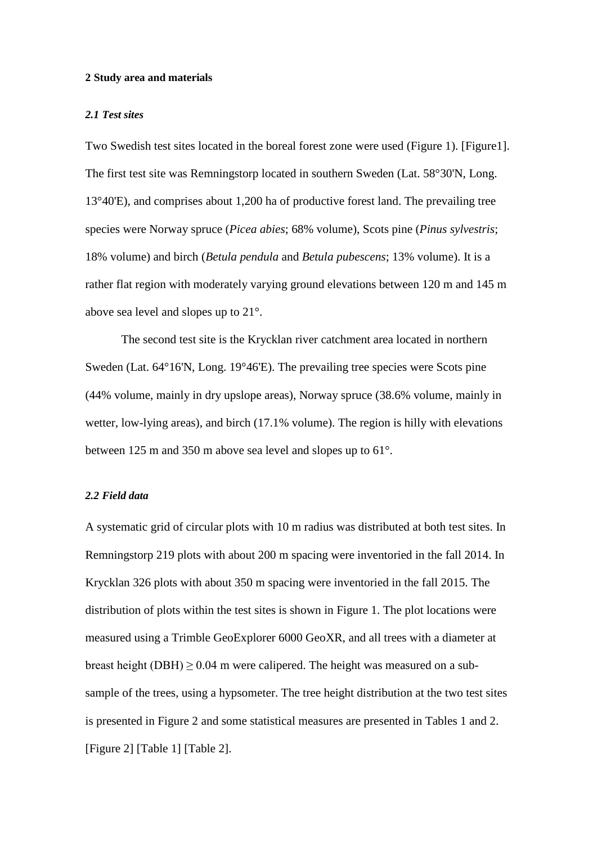#### **2 Study area and materials**

### *2.1 Test sites*

Two Swedish test sites located in the boreal forest zone were used [\(Figure 1\)](#page-17-0). [Figure1]. The first test site was Remningstorp located in southern Sweden (Lat. 58°30'N, Long. 13°40'E), and comprises about 1,200 ha of productive forest land. The prevailing tree species were Norway spruce (*Picea abies*; 68% volume), Scots pine (*Pinus sylvestris*; 18% volume) and birch (*Betula pendula* and *Betula pubescens*; 13% volume). It is a rather flat region with moderately varying ground elevations between 120 m and 145 m above sea level and slopes up to 21°.

The second test site is the Krycklan river catchment area located in northern Sweden (Lat. 64°16'N, Long. 19°46'E). The prevailing tree species were Scots pine (44% volume, mainly in dry upslope areas), Norway spruce (38.6% volume, mainly in wetter, low-lying areas), and birch (17.1% volume). The region is hilly with elevations between 125 m and 350 m above sea level and slopes up to 61°.

## *2.2 Field data*

A systematic grid of circular plots with 10 m radius was distributed at both test sites. In Remningstorp 219 plots with about 200 m spacing were inventoried in the fall 2014. In Krycklan 326 plots with about 350 m spacing were inventoried in the fall 2015. The distribution of plots within the test sites is shown in [Figure 1.](#page-17-0) The plot locations were measured using a Trimble GeoExplorer 6000 GeoXR, and all trees with a diameter at breast height (DBH)  $\geq$  0.04 m were calipered. The height was measured on a subsample of the trees, using a hypsometer. The tree height distribution at the two test sites is presented in [Figure 2](#page-17-1) and some statistical measures are presented in Tables 1 and 2. [Figure 2] [Table 1] [Table 2].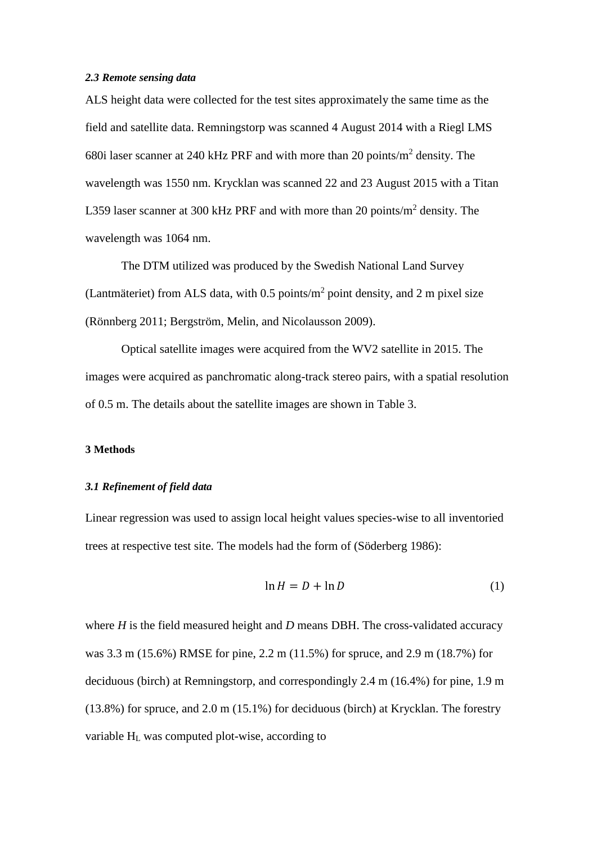# *2.3 Remote sensing data*

ALS height data were collected for the test sites approximately the same time as the field and satellite data. Remningstorp was scanned 4 August 2014 with a Riegl LMS 680i laser scanner at 240 kHz PRF and with more than 20 points/ $m^2$  density. The wavelength was 1550 nm. Krycklan was scanned 22 and 23 August 2015 with a Titan L359 laser scanner at 300 kHz PRF and with more than 20 points/ $m^2$  density. The wavelength was 1064 nm.

The DTM utilized was produced by the Swedish National Land Survey (Lantmäteriet) from ALS data, with  $0.5$  points/m<sup>2</sup> point density, and 2 m pixel size (Rönnberg 2011; Bergström, Melin, and Nicolausson 2009).

Optical satellite images were acquired from the WV2 satellite in 2015. The images were acquired as panchromatic along-track stereo pairs, with a spatial resolution of 0.5 m. The details about the satellite images are shown in Table 3.

#### **3 Methods**

## *3.1 Refinement of field data*

Linear regression was used to assign local height values species-wise to all inventoried trees at respective test site. The models had the form of (Söderberg 1986):

$$
\ln H = D + \ln D \tag{1}
$$

where *H* is the field measured height and *D* means DBH. The cross-validated accuracy was 3.3 m (15.6%) RMSE for pine, 2.2 m (11.5%) for spruce, and 2.9 m (18.7%) for deciduous (birch) at Remningstorp, and correspondingly 2.4 m (16.4%) for pine, 1.9 m (13.8%) for spruce, and 2.0 m (15.1%) for deciduous (birch) at Krycklan. The forestry variable  $H<sub>L</sub>$  was computed plot-wise, according to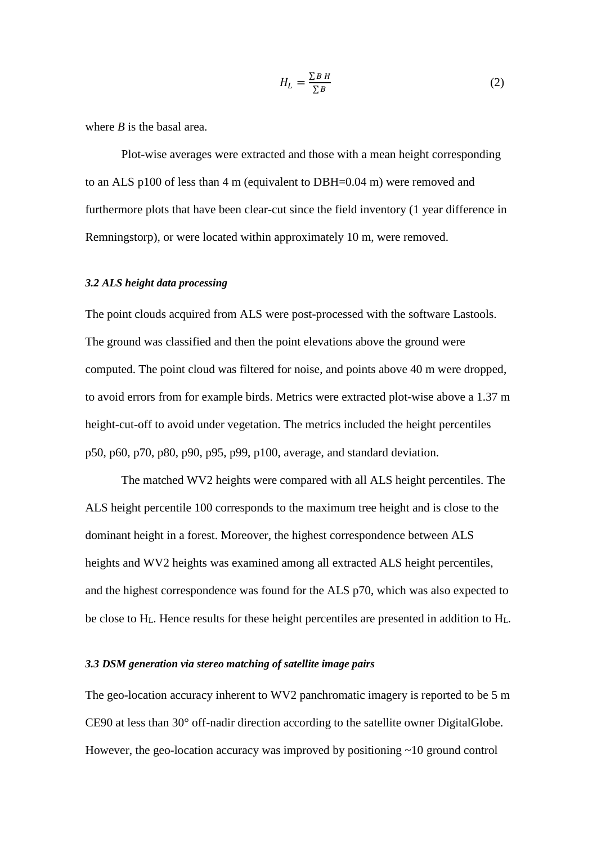$$
H_L = \frac{\sum B \, H}{\sum B} \tag{2}
$$

where *B* is the basal area.

Plot-wise averages were extracted and those with a mean height corresponding to an ALS p100 of less than 4 m (equivalent to DBH=0.04 m) were removed and furthermore plots that have been clear-cut since the field inventory (1 year difference in Remningstorp), or were located within approximately 10 m, were removed.

# *3.2 ALS height data processing*

The point clouds acquired from ALS were post-processed with the software Lastools. The ground was classified and then the point elevations above the ground were computed. The point cloud was filtered for noise, and points above 40 m were dropped, to avoid errors from for example birds. Metrics were extracted plot-wise above a 1.37 m height-cut-off to avoid under vegetation. The metrics included the height percentiles p50, p60, p70, p80, p90, p95, p99, p100, average, and standard deviation.

The matched WV2 heights were compared with all ALS height percentiles. The ALS height percentile 100 corresponds to the maximum tree height and is close to the dominant height in a forest. Moreover, the highest correspondence between ALS heights and WV2 heights was examined among all extracted ALS height percentiles, and the highest correspondence was found for the ALS p70, which was also expected to be close to  $H_L$ . Hence results for these height percentiles are presented in addition to  $H_L$ .

# *3.3 DSM generation via stereo matching of satellite image pairs*

The geo-location accuracy inherent to WV2 panchromatic imagery is reported to be 5 m CE90 at less than 30° off-nadir direction according to the satellite owner DigitalGlobe. However, the geo-location accuracy was improved by positioning ~10 ground control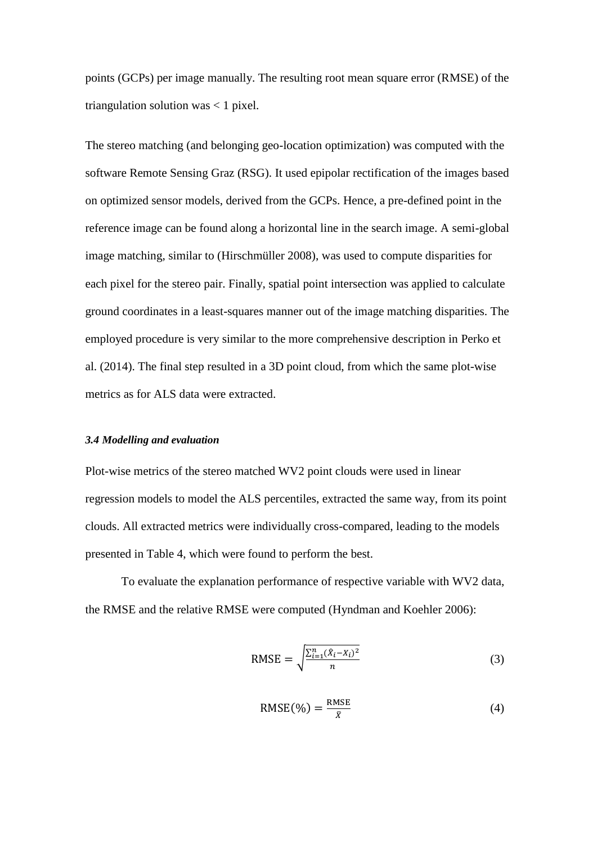points (GCPs) per image manually. The resulting root mean square error (RMSE) of the triangulation solution was < 1 pixel.

The stereo matching (and belonging geo-location optimization) was computed with the software Remote Sensing Graz (RSG). It used epipolar rectification of the images based on optimized sensor models, derived from the GCPs. Hence, a pre-defined point in the reference image can be found along a horizontal line in the search image. A semi-global image matching, similar to (Hirschmüller 2008), was used to compute disparities for each pixel for the stereo pair. Finally, spatial point intersection was applied to calculate ground coordinates in a least-squares manner out of the image matching disparities. The employed procedure is very similar to the more comprehensive description in Perko et al. (2014). The final step resulted in a 3D point cloud, from which the same plot-wise metrics as for ALS data were extracted.

#### *3.4 Modelling and evaluation*

Plot-wise metrics of the stereo matched WV2 point clouds were used in linear regression models to model the ALS percentiles, extracted the same way, from its point clouds. All extracted metrics were individually cross-compared, leading to the models presented in Table 4, which were found to perform the best.

To evaluate the explanation performance of respective variable with WV2 data, the RMSE and the relative RMSE were computed (Hyndman and Koehler 2006):

$$
RMSE = \sqrt{\frac{\sum_{i=1}^{n} (\hat{X}_i - X_i)^2}{n}}
$$
(3)

$$
RMSE(\%) = \frac{RMSE}{\bar{X}}
$$
 (4)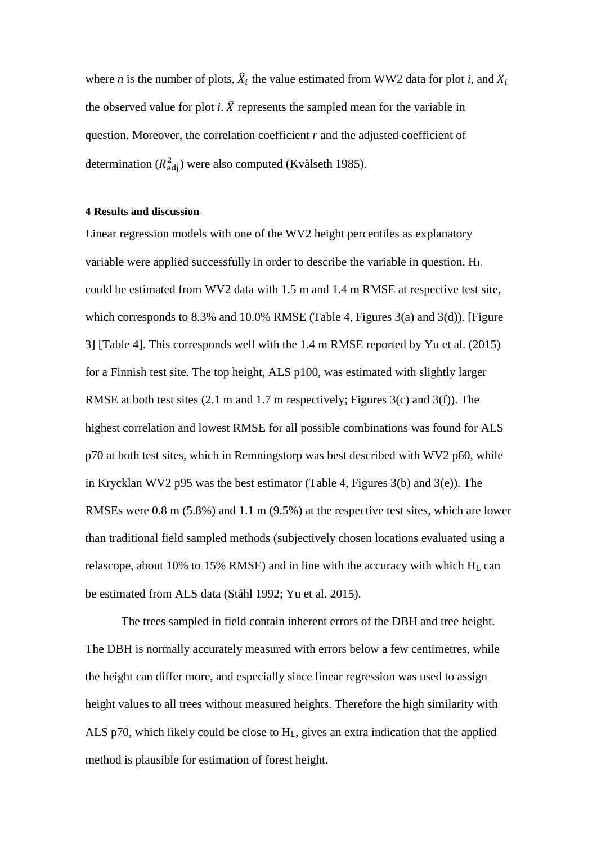where *n* is the number of plots,  $\hat{X}_i$  the value estimated from WW2 data for plot *i*, and  $X_i$ the observed value for plot *i*.  $\bar{X}$  represents the sampled mean for the variable in question. Moreover, the correlation coefficient *r* and the adjusted coefficient of determination ( $R_{\text{adj}}^2$ ) were also computed (Kvålseth 1985).

#### **4 Results and discussion**

Linear regression models with one of the WV2 height percentiles as explanatory variable were applied successfully in order to describe the variable in question. H<sub>L</sub> could be estimated from WV2 data with 1.5 m and 1.4 m RMSE at respective test site, which corresponds to 8.3% and 10.0% RMSE (Table 4, Figures 3(a) and 3(d)). [Figure 3] [Table 4]. This corresponds well with the 1.4 m RMSE reported by Yu et al. (2015) for a Finnish test site. The top height, ALS p100, was estimated with slightly larger RMSE at both test sites (2.1 m and 1.7 m respectively; Figures 3(c) and 3(f)). The highest correlation and lowest RMSE for all possible combinations was found for ALS p70 at both test sites, which in Remningstorp was best described with WV2 p60, while in Krycklan WV2 p95 was the best estimator (Table 4, Figures 3(b) and 3(e)). The RMSEs were 0.8 m (5.8%) and 1.1 m (9.5%) at the respective test sites, which are lower than traditional field sampled methods (subjectively chosen locations evaluated using a relascope, about 10% to 15% RMSE) and in line with the accuracy with which  $H_L$  can be estimated from ALS data (Ståhl 1992; Yu et al. 2015).

The trees sampled in field contain inherent errors of the DBH and tree height. The DBH is normally accurately measured with errors below a few centimetres, while the height can differ more, and especially since linear regression was used to assign height values to all trees without measured heights. Therefore the high similarity with ALS p70, which likely could be close to HL, gives an extra indication that the applied method is plausible for estimation of forest height.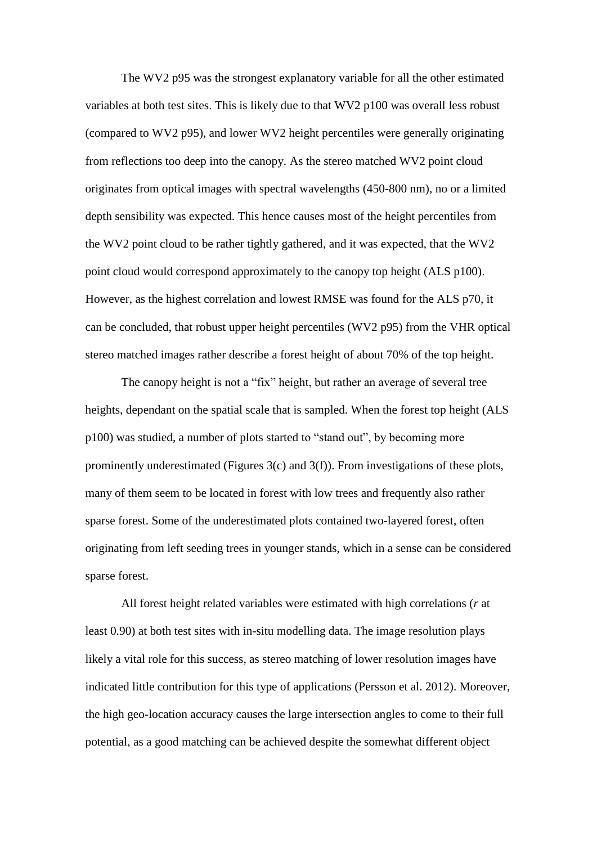The WV2 p95 was the strongest explanatory variable for all the other estimated variables at both test sites. This is likely due to that WV2 p100 was overall less robust (compared to WV2 p95), and lower WV2 height percentiles were generally originating from reflections too deep into the canopy. As the stereo matched WV2 point cloud originates from optical images with spectral wavelengths (450-800 nm), no or a limited depth sensibility was expected. This hence causes most of the height percentiles from the WV2 point cloud to be rather tightly gathered, and it was expected, that the WV2 point cloud would correspond approximately to the canopy top height (ALS p100). However, as the highest correlation and lowest RMSE was found for the ALS p70, it can be concluded, that robust upper height percentiles (WV2 p95) from the VHR optical stereo matched images rather describe a forest height of about 70% of the top height.

The canopy height is not a "fix" height, but rather an average of several tree heights, dependant on the spatial scale that is sampled. When the forest top height (ALS p100) was studied, a number of plots started to "stand out", by becoming more prominently underestimated (Figures 3(c) and 3(f)). From investigations of these plots, many of them seem to be located in forest with low trees and frequently also rather sparse forest. Some of the underestimated plots contained two-layered forest, often originating from left seeding trees in younger stands, which in a sense can be considered sparse forest.

All forest height related variables were estimated with high correlations (*r* at least 0.90) at both test sites with in-situ modelling data. The image resolution plays likely a vital role for this success, as stereo matching of lower resolution images have indicated little contribution for this type of applications (Persson et al. 2012). Moreover, the high geo-location accuracy causes the large intersection angles to come to their full potential, as a good matching can be achieved despite the somewhat different object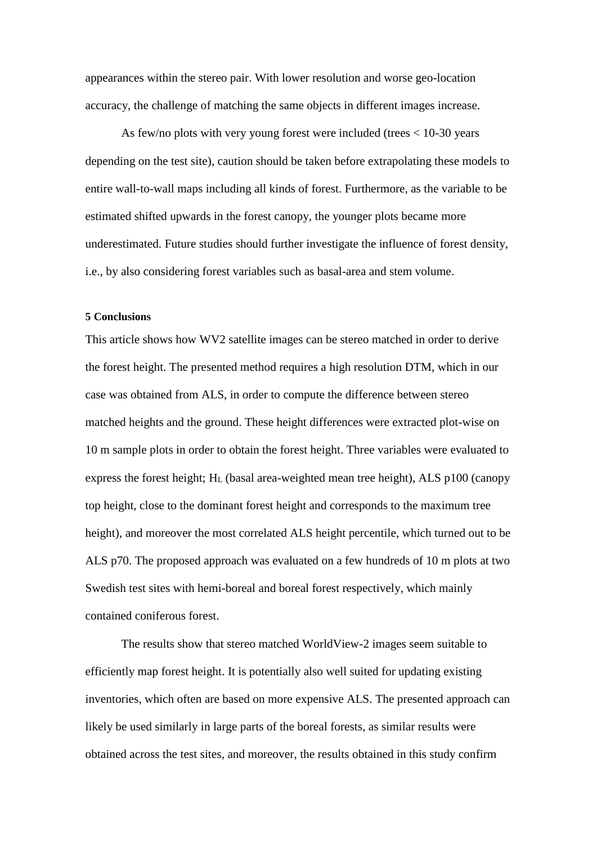appearances within the stereo pair. With lower resolution and worse geo-location accuracy, the challenge of matching the same objects in different images increase.

As few/no plots with very young forest were included (trees < 10-30 years depending on the test site), caution should be taken before extrapolating these models to entire wall-to-wall maps including all kinds of forest. Furthermore, as the variable to be estimated shifted upwards in the forest canopy, the younger plots became more underestimated. Future studies should further investigate the influence of forest density, i.e., by also considering forest variables such as basal-area and stem volume.

#### **5 Conclusions**

This article shows how WV2 satellite images can be stereo matched in order to derive the forest height. The presented method requires a high resolution DTM, which in our case was obtained from ALS, in order to compute the difference between stereo matched heights and the ground. These height differences were extracted plot-wise on 10 m sample plots in order to obtain the forest height. Three variables were evaluated to express the forest height;  $H<sub>L</sub>$  (basal area-weighted mean tree height), ALS p100 (canopy top height, close to the dominant forest height and corresponds to the maximum tree height), and moreover the most correlated ALS height percentile, which turned out to be ALS p70. The proposed approach was evaluated on a few hundreds of 10 m plots at two Swedish test sites with hemi-boreal and boreal forest respectively, which mainly contained coniferous forest.

The results show that stereo matched WorldView-2 images seem suitable to efficiently map forest height. It is potentially also well suited for updating existing inventories, which often are based on more expensive ALS. The presented approach can likely be used similarly in large parts of the boreal forests, as similar results were obtained across the test sites, and moreover, the results obtained in this study confirm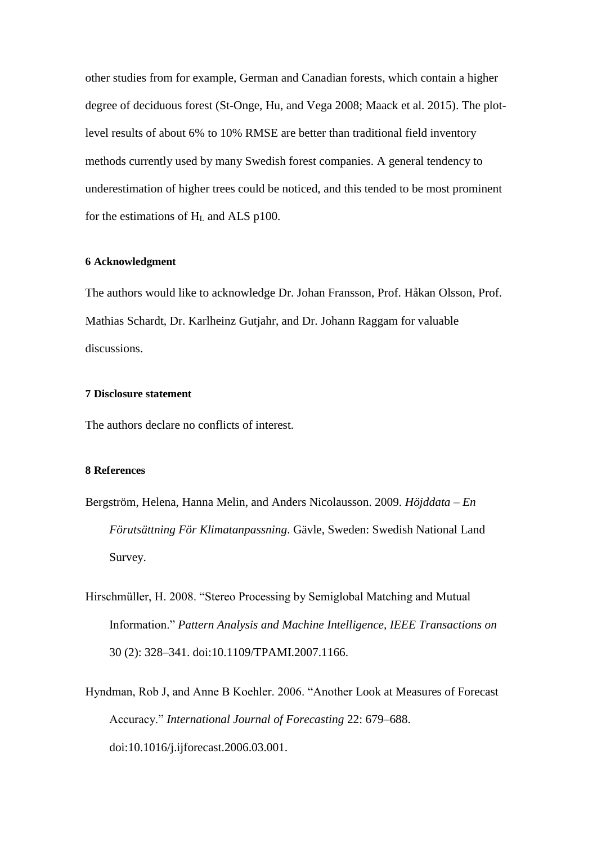other studies from for example, German and Canadian forests, which contain a higher degree of deciduous forest (St-Onge, Hu, and Vega 2008; Maack et al. 2015). The plotlevel results of about 6% to 10% RMSE are better than traditional field inventory methods currently used by many Swedish forest companies. A general tendency to underestimation of higher trees could be noticed, and this tended to be most prominent for the estimations of  $H<sub>L</sub>$  and ALS p100.

# **6 Acknowledgment**

The authors would like to acknowledge Dr. Johan Fransson, Prof. Håkan Olsson, Prof. Mathias Schardt, Dr. Karlheinz Gutjahr, and Dr. Johann Raggam for valuable discussions.

# **7 Disclosure statement**

The authors declare no conflicts of interest.

## **8 References**

- Bergström, Helena, Hanna Melin, and Anders Nicolausson. 2009. *Höjddata – En Förutsättning För Klimatanpassning*. Gävle, Sweden: Swedish National Land Survey.
- Hirschmüller, H. 2008. "Stereo Processing by Semiglobal Matching and Mutual Information." *Pattern Analysis and Machine Intelligence, IEEE Transactions on* 30 (2): 328–341. doi:10.1109/TPAMI.2007.1166.
- Hyndman, Rob J, and Anne B Koehler. 2006. "Another Look at Measures of Forecast Accuracy." *International Journal of Forecasting* 22: 679–688. doi:10.1016/j.ijforecast.2006.03.001.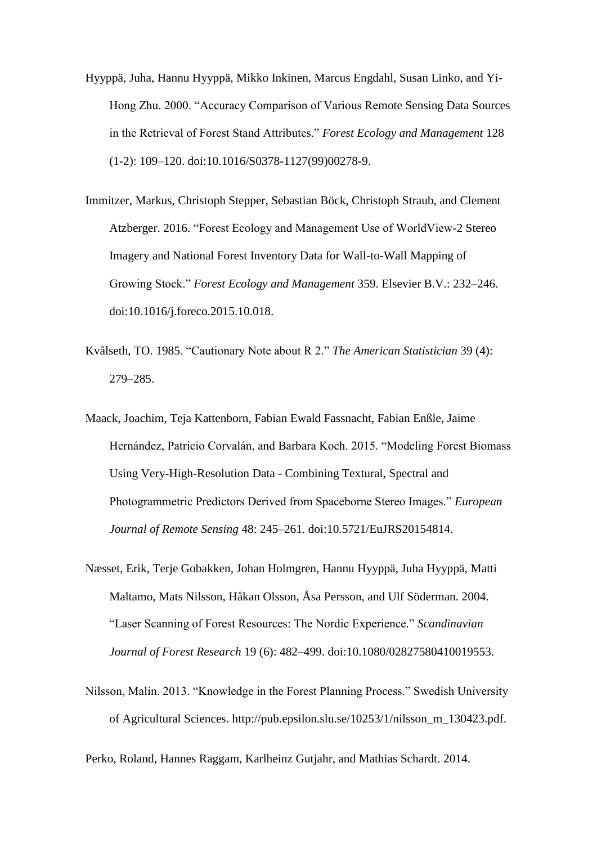- Hyyppä, Juha, Hannu Hyyppä, Mikko Inkinen, Marcus Engdahl, Susan Linko, and Yi-Hong Zhu. 2000. "Accuracy Comparison of Various Remote Sensing Data Sources in the Retrieval of Forest Stand Attributes." *Forest Ecology and Management* 128 (1-2): 109–120. doi:10.1016/S0378-1127(99)00278-9.
- Immitzer, Markus, Christoph Stepper, Sebastian Böck, Christoph Straub, and Clement Atzberger. 2016. "Forest Ecology and Management Use of WorldView-2 Stereo Imagery and National Forest Inventory Data for Wall-to-Wall Mapping of Growing Stock." *Forest Ecology and Management* 359. Elsevier B.V.: 232–246. doi:10.1016/j.foreco.2015.10.018.
- Kvålseth, TO. 1985. "Cautionary Note about R 2." *The American Statistician* 39 (4): 279–285.
- Maack, Joachim, Teja Kattenborn, Fabian Ewald Fassnacht, Fabian Enßle, Jaime Hernández, Patricio Corvalán, and Barbara Koch. 2015. "Modeling Forest Biomass Using Very-High-Resolution Data - Combining Textural, Spectral and Photogrammetric Predictors Derived from Spaceborne Stereo Images." *European Journal of Remote Sensing* 48: 245–261. doi:10.5721/EuJRS20154814.
- Næsset, Erik, Terje Gobakken, Johan Holmgren, Hannu Hyyppä, Juha Hyyppä, Matti Maltamo, Mats Nilsson, Håkan Olsson, Åsa Persson, and Ulf Söderman. 2004. "Laser Scanning of Forest Resources: The Nordic Experience." *Scandinavian Journal of Forest Research* 19 (6): 482–499. doi:10.1080/02827580410019553.
- Nilsson, Malin. 2013. "Knowledge in the Forest Planning Process." Swedish University of Agricultural Sciences. http://pub.epsilon.slu.se/10253/1/nilsson\_m\_130423.pdf.

Perko, Roland, Hannes Raggam, Karlheinz Gutjahr, and Mathias Schardt. 2014.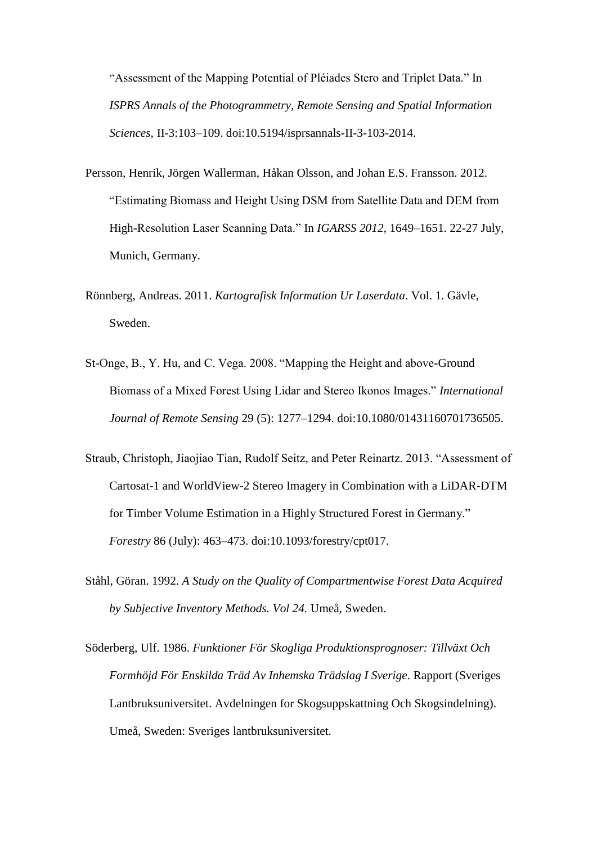"Assessment of the Mapping Potential of Pléiades Stero and Triplet Data." In *ISPRS Annals of the Photogrammetry, Remote Sensing and Spatial Information Sciences*, II-3:103–109. doi:10.5194/isprsannals-II-3-103-2014.

- Persson, Henrik, Jörgen Wallerman, Håkan Olsson, and Johan E.S. Fransson. 2012. "Estimating Biomass and Height Using DSM from Satellite Data and DEM from High-Resolution Laser Scanning Data." In *IGARSS 2012*, 1649–1651. 22-27 July, Munich, Germany.
- Rönnberg, Andreas. 2011. *Kartografisk Information Ur Laserdata*. Vol. 1. Gävle, Sweden.
- St-Onge, B., Y. Hu, and C. Vega. 2008. "Mapping the Height and above-Ground Biomass of a Mixed Forest Using Lidar and Stereo Ikonos Images." *International Journal of Remote Sensing* 29 (5): 1277–1294. doi:10.1080/01431160701736505.
- Straub, Christoph, Jiaojiao Tian, Rudolf Seitz, and Peter Reinartz. 2013. "Assessment of Cartosat-1 and WorldView-2 Stereo Imagery in Combination with a LiDAR-DTM for Timber Volume Estimation in a Highly Structured Forest in Germany." *Forestry* 86 (July): 463–473. doi:10.1093/forestry/cpt017.
- Ståhl, Göran. 1992. *A Study on the Quality of Compartmentwise Forest Data Acquired by Subjective Inventory Methods. Vol 24.* Umeå, Sweden.
- Söderberg, Ulf. 1986. *Funktioner För Skogliga Produktionsprognoser: Tillväxt Och Formhöjd För Enskilda Träd Av Inhemska Trädslag I Sverige*. Rapport (Sveriges Lantbruksuniversitet. Avdelningen for Skogsuppskattning Och Skogsindelning). Umeå, Sweden: Sveriges lantbruksuniversitet.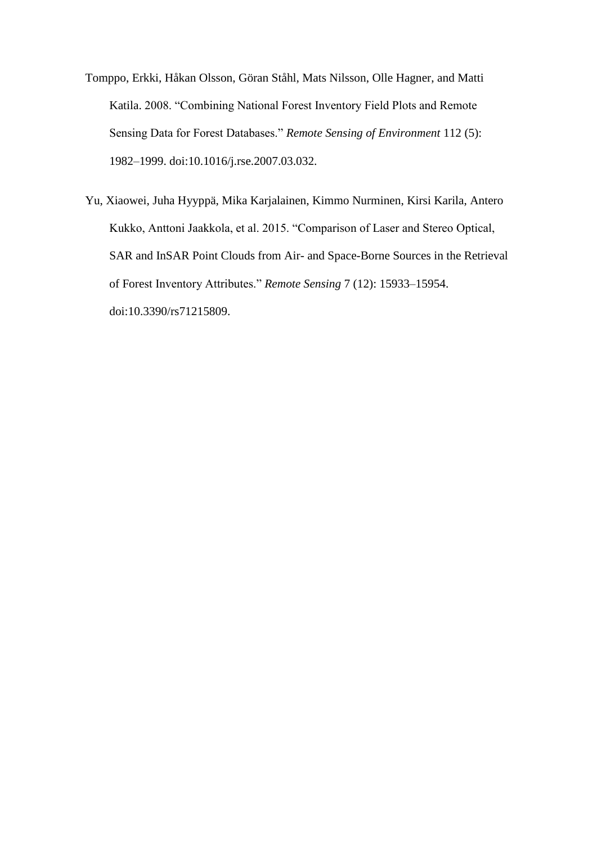- Tomppo, Erkki, Håkan Olsson, Göran Ståhl, Mats Nilsson, Olle Hagner, and Matti Katila. 2008. "Combining National Forest Inventory Field Plots and Remote Sensing Data for Forest Databases." *Remote Sensing of Environment* 112 (5): 1982–1999. doi:10.1016/j.rse.2007.03.032.
- Yu, Xiaowei, Juha Hyyppä, Mika Karjalainen, Kimmo Nurminen, Kirsi Karila, Antero Kukko, Anttoni Jaakkola, et al. 2015. "Comparison of Laser and Stereo Optical, SAR and InSAR Point Clouds from Air- and Space-Borne Sources in the Retrieval of Forest Inventory Attributes." *Remote Sensing* 7 (12): 15933–15954. doi:10.3390/rs71215809.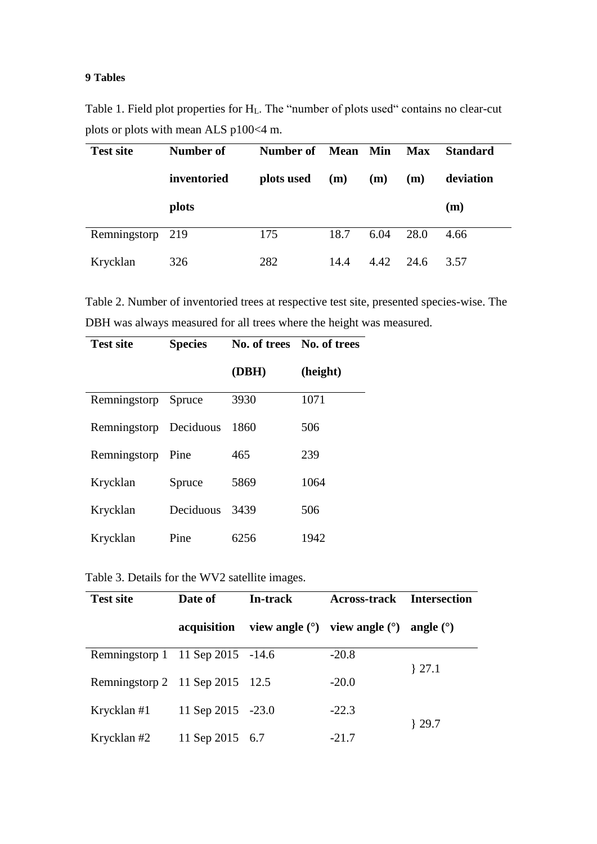# **9 Tables**

Table 1. Field plot properties for HL. The "number of plots used" contains no clear-cut plots or plots with mean ALS p100<4 m.

| <b>Test site</b> | Number of   | Number of  | <b>Mean</b> Min |      | <b>Max</b> | <b>Standard</b> |
|------------------|-------------|------------|-----------------|------|------------|-----------------|
|                  | inventoried | plots used | (m)             | (m)  | (m)        | deviation       |
|                  | plots       |            |                 |      |            | (m)             |
| Remningstorp 219 |             | 175        | 18.7            | 6.04 | 28.0       | 4.66            |
| Krycklan         | 326         | 282        | 14.4            | 4.42 | 24.6       | 3.57            |

Table 2. Number of inventoried trees at respective test site, presented species-wise. The DBH was always measured for all trees where the height was measured.

| <b>Test site</b>       | <b>Species</b> | No. of trees No. of trees |          |  |
|------------------------|----------------|---------------------------|----------|--|
|                        |                | (DBH)                     | (height) |  |
| Remningstorp Spruce    |                | 3930                      | 1071     |  |
| Remningstorp Deciduous |                | 1860                      | 506      |  |
| Remningstorp           | Pine           | 465                       | 239      |  |
| Krycklan               | Spruce         | 5869                      | 1064     |  |
| Krycklan               | Deciduous      | 3439                      | 506      |  |
| Krycklan               | Pine           | 6256                      | 1942     |  |

Table 3. Details for the WV2 satellite images.

| <b>Test site</b>                 | Date of           | In-track | <b>Across-track</b>                       | <b>Intersection</b> |  |
|----------------------------------|-------------------|----------|-------------------------------------------|---------------------|--|
|                                  | acquisition       |          | view angle $(\circ)$ view angle $(\circ)$ | angle $(^\circ)$    |  |
| Remningstorp 1 11 Sep 2015 -14.6 |                   |          | $-20.8$                                   |                     |  |
| Remningstorp 2 11 Sep 2015 12.5  |                   |          | $-20.0$                                   | $\{27.1$            |  |
| Krycklan #1                      | 11 Sep 2015 -23.0 |          | $-22.3$                                   | $\{29.7$            |  |
| Krycklan #2                      | 11 Sep 2015 6.7   |          | $-21.7$                                   |                     |  |